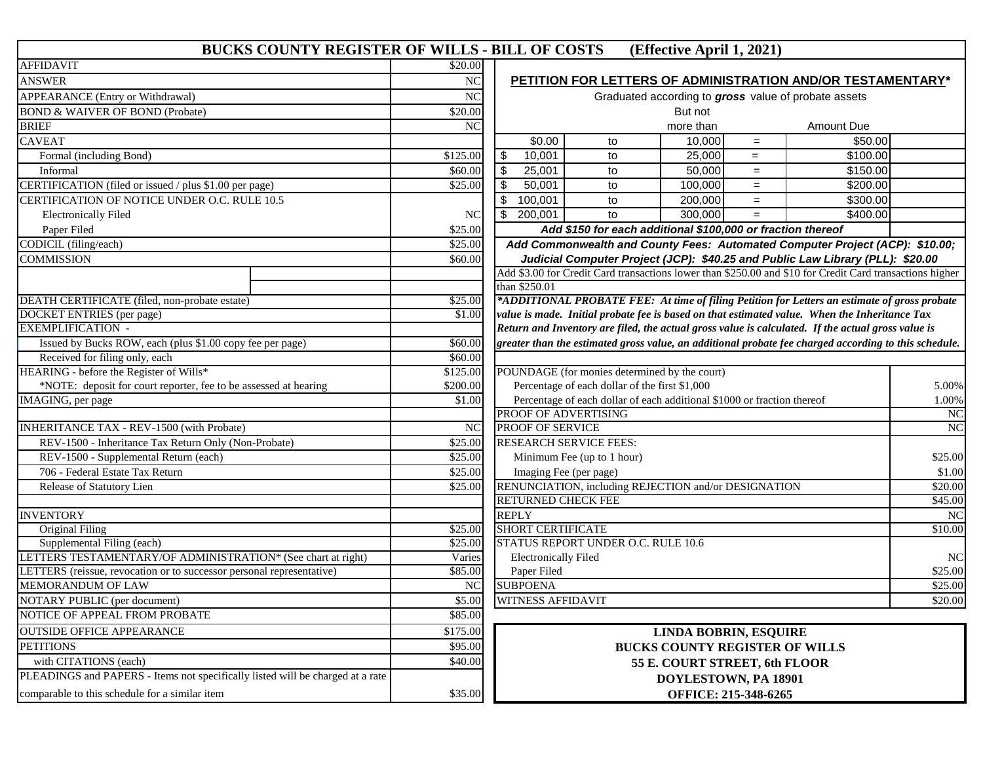## **BUCKS COUNTY REGISTER OF WILLS - BILL OF COSTS (Effective April 1, 2021)**

| <b>AFFIDAVIT</b>                                                               | \$20.00        |                                                                                                          |
|--------------------------------------------------------------------------------|----------------|----------------------------------------------------------------------------------------------------------|
| <b>ANSWER</b>                                                                  | NC             | PETITION FOR LETTERS OF ADMINISTRATION AND/OR TESTAMENTARY*                                              |
| <b>APPEARANCE</b> (Entry or Withdrawal)                                        | <b>NC</b>      | Graduated according to gross value of probate assets                                                     |
| <b>BOND &amp; WAIVER OF BOND (Probate)</b>                                     | \$20.00        | But not                                                                                                  |
| <b>BRIEF</b>                                                                   | <b>NC</b>      | more than<br>Amount Due                                                                                  |
| <b>CAVEAT</b>                                                                  |                | \$0.00<br>\$50.00<br>10,000<br>to<br>$=$                                                                 |
| Formal (including Bond)                                                        | \$125.00       | \$<br>10,001<br>25,000<br>\$100.00<br>to<br>$=$                                                          |
| Informal                                                                       | \$60.00        | $\frac{1}{2}$<br>25,001<br>50,000<br>\$150.00<br>to<br>$=$                                               |
| CERTIFICATION (filed or issued / plus \$1.00 per page)                         | \$25.00        | $\boldsymbol{\mathsf{S}}$<br>50,001<br>100,000<br>\$200.00<br>to<br>$=$                                  |
| CERTIFICATION OF NOTICE UNDER O.C. RULE 10.5                                   |                | 100,001<br>200,000<br>\$300.00<br>\$<br>to<br>$=$                                                        |
| <b>Electronically Filed</b>                                                    | NC             | \$400.00<br>200,001<br>300.000<br>\$<br>to<br>$=$                                                        |
| Paper Filed                                                                    | \$25.00        | Add \$150 for each additional \$100,000 or fraction thereof                                              |
| CODICIL (filing/each)                                                          | \$25.00        | Add Commonwealth and County Fees: Automated Computer Project (ACP): \$10.00;                             |
| COMMISSION                                                                     | \$60.00        | Judicial Computer Project (JCP): \$40.25 and Public Law Library (PLL): \$20.00                           |
|                                                                                |                | Add \$3.00 for Credit Card transactions lower than \$250.00 and \$10 for Credit Card transactions higher |
|                                                                                |                | than \$250.01                                                                                            |
| DEATH CERTIFICATE (filed, non-probate estate)                                  | \$25.00        | *ADDITIONAL PROBATE FEE: At time of filing Petition for Letters an estimate of gross probate             |
| <b>DOCKET ENTRIES</b> (per page)                                               | \$1.00         | value is made. Initial probate fee is based on that estimated value. When the Inheritance Tax            |
| <b>EXEMPLIFICATION -</b>                                                       |                | Return and Inventory are filed, the actual gross value is calculated. If the actual gross value is       |
| Issued by Bucks ROW, each (plus \$1.00 copy fee per page)                      | \$60.00        | greater than the estimated gross value, an additional probate fee charged according to this schedule.    |
| Received for filing only, each                                                 | \$60.00        |                                                                                                          |
| HEARING - before the Register of Wills*                                        | \$125.00       | POUNDAGE (for monies determined by the court)                                                            |
| *NOTE: deposit for court reporter, fee to be assessed at hearing               | \$200.00       | Percentage of each dollar of the first \$1,000<br>5.00%                                                  |
| <b>IMAGING</b> , per page                                                      | \$1.00         | Percentage of each dollar of each additional \$1000 or fraction thereof<br>1.00%                         |
|                                                                                |                | PROOF OF ADVERTISING<br>NC                                                                               |
| <b>INHERITANCE TAX - REV-1500 (with Probate)</b>                               | N <sub>C</sub> | <b>PROOF OF SERVICE</b><br>NC                                                                            |
| REV-1500 - Inheritance Tax Return Only (Non-Probate)                           | \$25.00        | <b>RESEARCH SERVICE FEES:</b>                                                                            |
| REV-1500 - Supplemental Return (each)                                          | \$25.00        | Minimum Fee (up to 1 hour)<br>\$25.00                                                                    |
| 706 - Federal Estate Tax Return                                                | \$25.00        | Imaging Fee (per page)<br>\$1.00                                                                         |
| Release of Statutory Lien                                                      | \$25.00        | RENUNCIATION, including REJECTION and/or DESIGNATION<br>\$20.00                                          |
|                                                                                |                | <b>RETURNED CHECK FEE</b><br>\$45.00                                                                     |
| <b>INVENTORY</b>                                                               |                | <b>REPLY</b><br>N <sub>C</sub>                                                                           |
| Original Filing                                                                | \$25.00        | <b>SHORT CERTIFICATE</b><br>\$10.00                                                                      |
| Supplemental Filing (each)                                                     | \$25.00        | STATUS REPORT UNDER O.C. RULE 10.6                                                                       |
| LETTERS TESTAMENTARY/OF ADMINISTRATION* (See chart at right)                   | Varies         | <b>Electronically Filed</b><br>NC                                                                        |
| LETTERS (reissue, revocation or to successor personal representative)          | \$85.00        | Paper Filed<br>\$25.00                                                                                   |
| <b>MEMORANDUM OF LAW</b>                                                       | N <sub>C</sub> | <b>SUBPOENA</b><br>\$25.00                                                                               |
| NOTARY PUBLIC (per document)                                                   | \$5.00         | <b>WITNESS AFFIDAVIT</b><br>\$20.00                                                                      |
| NOTICE OF APPEAL FROM PROBATE                                                  | \$85.00        |                                                                                                          |
| <b>OUTSIDE OFFICE APPEARANCE</b>                                               | \$175.00       | <b>LINDA BOBRIN, ESQUIRE</b>                                                                             |
| <b>PETITIONS</b>                                                               | \$95.00        | <b>BUCKS COUNTY REGISTER OF WILLS</b>                                                                    |
| with CITATIONS (each)                                                          | \$40.00        | 55 E. COURT STREET, 6th FLOOR                                                                            |
| PLEADINGS and PAPERS - Items not specifically listed will be charged at a rate |                | DOYLESTOWN, PA 18901                                                                                     |
| comparable to this schedule for a similar item                                 | \$35.00        | OFFICE: 215-348-6265                                                                                     |